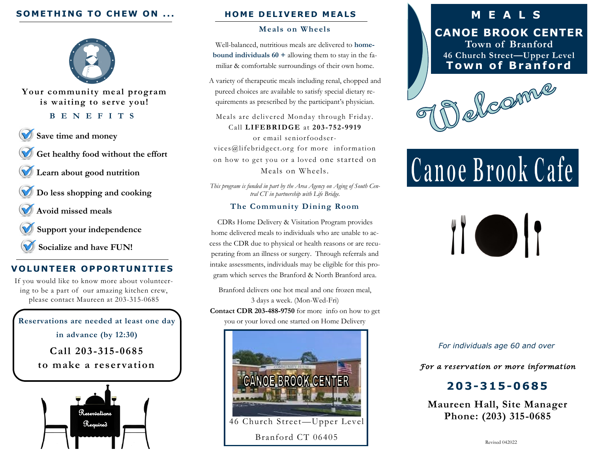## **SOMETHING TO CHEW ON ...**



**Your community meal program is waiting to serve you!**

#### **B E N E F I T S**

- **Save time and money**
- **Get healthy food without the effort**
- **Learn about good nutrition**

**Do less shopping and cooking**

**Avoid missed meals**

**Support your independence**

**Socialize and have FUN!**

## **VOLUNTEER OPPORTUNITIES**

If you would like to know more about volunteering to be a part of our amazing kitchen crew, please contact Maureen at 203-315-0685

**Reservations are needed at least one day in advance (by 12:30) Call 203 -315-0685 to make a reser vation** 



#### **HOME DELIVERED MEALS**

#### **Meals on Wheels**

Well-balanced, nutritious meals are delivered to **homebound individuals 60 +** allowing them to stay in the familiar & comfortable surroundings of their own home.

A variety of therapeutic meals including renal, chopped and pureed choices are available to satisfy special dietary requirements as prescribed by the participant's physician.

Meals are delivered Monday through Friday. Call **LIFEBRIDGE** at **203-752-9919** 

or email seniorfoodservices@lifebridgect.org for more information on how to get you or a loved one started on Meals on Wheels.

*This program is funded in part by the Area Agency on Aging of South Central CT in partnership with Life Bridge.*

#### **The Community Dining Room**

CDRs Home Delivery & Visitation Program provides home delivered meals to individuals who are unable to access the CDR due to physical or health reasons or are recuperating from an illness or surgery. Through referrals and intake assessments, individuals may be eligible for this program which serves the Branford & North Branford area.

Branford delivers one hot meal and one frozen meal, 3 days a week. (Mon-Wed-Fri) **Contact CDR 203-488-9750** for more info on how to get you or your loved one started on Home Delivery



## **M E A L S**

**CANOE BROOK CENTER Town of Branford 46 Church Street—Upper Level Town of Branford** 



# Canoe Brook Cafe

II O

*For individuals age 60 and over*

*For a reservation or more information* 

## **203-315-0 6 8 5**

**Maureen Hall, Site Manager Phone: (203) 315-0685**